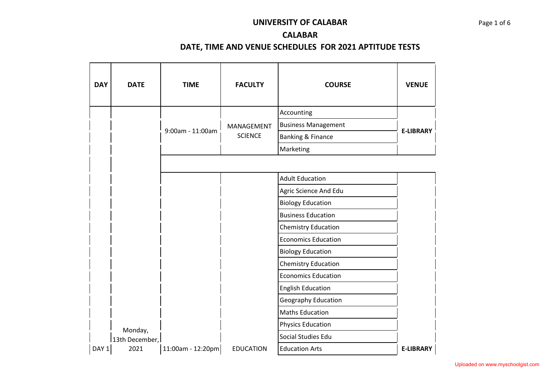## **UNIVERSITY OF CALABAR** Page 1 of 6

## **CALABAR**

| <b>DAY</b> | <b>DATE</b>    | <b>TIME</b>       | <b>FACULTY</b>   | <b>COURSE</b>                | <b>VENUE</b>     |
|------------|----------------|-------------------|------------------|------------------------------|------------------|
|            |                |                   |                  | Accounting                   |                  |
|            |                | 9:00am - 11:00am  | MANAGEMENT       | <b>Business Management</b>   | <b>E-LIBRARY</b> |
|            |                |                   | <b>SCIENCE</b>   | <b>Banking &amp; Finance</b> |                  |
|            |                |                   |                  | Marketing                    |                  |
|            |                |                   |                  |                              |                  |
|            |                |                   |                  | <b>Adult Education</b>       |                  |
|            |                |                   |                  | Agric Science And Edu        |                  |
|            |                |                   |                  | <b>Biology Education</b>     |                  |
|            |                |                   |                  | <b>Business Education</b>    |                  |
|            |                |                   |                  | <b>Chemistry Education</b>   |                  |
|            |                |                   |                  | <b>Economics Education</b>   |                  |
|            |                |                   |                  | <b>Biology Education</b>     |                  |
|            |                |                   |                  | <b>Chemistry Education</b>   |                  |
|            |                |                   |                  | <b>Economics Education</b>   |                  |
|            |                |                   |                  | <b>English Education</b>     |                  |
|            |                |                   |                  | Geography Education          |                  |
|            |                |                   |                  | <b>Maths Education</b>       |                  |
|            | Monday,        |                   |                  | <b>Physics Education</b>     |                  |
|            | 13th December, |                   |                  | Social Studies Edu           |                  |
| DAY 1      | 2021           | 11:00am - 12:20pm | <b>EDUCATION</b> | <b>Education Arts</b>        | <b>E-LIBRARY</b> |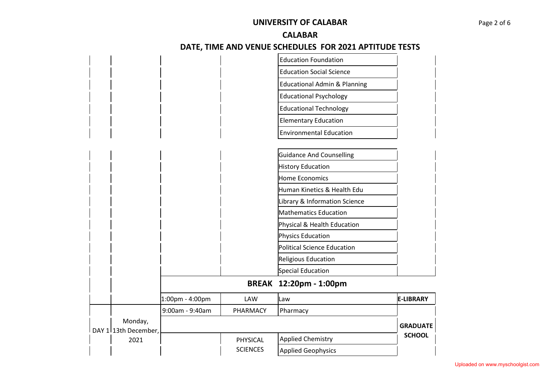## **UNIVERSITY OF CALABAR** Page 2 of 6

#### **CALABAR**

|                              |                 |                 | <b>Education Foundation</b>             |                  |
|------------------------------|-----------------|-----------------|-----------------------------------------|------------------|
|                              |                 |                 | <b>Education Social Science</b>         |                  |
|                              |                 |                 | <b>Educational Admin &amp; Planning</b> |                  |
|                              |                 |                 | <b>Educational Psychology</b>           |                  |
|                              |                 |                 | <b>Educational Technology</b>           |                  |
|                              |                 |                 | <b>Elementary Education</b>             |                  |
|                              |                 |                 | <b>Environmental Education</b>          |                  |
|                              |                 |                 |                                         |                  |
|                              |                 |                 | <b>Guidance And Counselling</b>         |                  |
|                              |                 |                 | <b>History Education</b>                |                  |
|                              |                 |                 | <b>Home Economics</b>                   |                  |
|                              |                 |                 | Human Kinetics & Health Edu             |                  |
|                              |                 |                 | Library & Information Science           |                  |
|                              |                 |                 | <b>Mathematics Education</b>            |                  |
|                              |                 |                 | Physical & Health Education             |                  |
|                              |                 |                 | Physics Education                       |                  |
|                              |                 |                 | <b>Political Science Education</b>      |                  |
|                              |                 |                 | Religious Education                     |                  |
|                              |                 |                 | Special Education                       |                  |
|                              |                 | <b>BREAK</b>    | 12:20pm - 1:00pm                        |                  |
|                              | 1:00pm - 4:00pm | LAW             | Law                                     | <b>E-LIBRARY</b> |
|                              | 9:00am - 9:40am | PHARMACY        | Pharmacy                                |                  |
| Monday,                      |                 |                 |                                         | <b>GRADUATE</b>  |
| DAY 1 13th December,<br>2021 |                 | PHYSICAL        | <b>Applied Chemistry</b>                | <b>SCHOOL</b>    |
|                              |                 | <b>SCIENCES</b> | <b>Applied Geophysics</b>               |                  |
|                              |                 |                 |                                         |                  |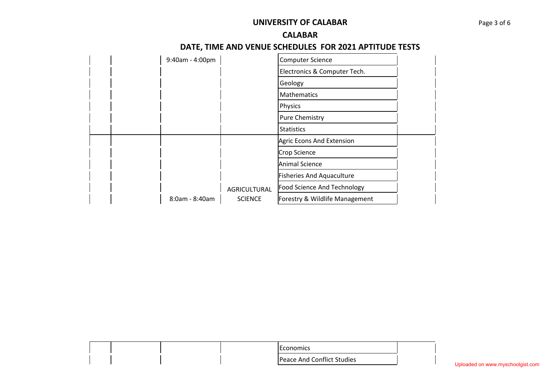## **UNIVERSITY OF CALABAR** Page 3 of 6

#### **CALABAR**

|  | 9:40am - 4:00pm |                | <b>Computer Science</b>          |  |
|--|-----------------|----------------|----------------------------------|--|
|  |                 |                | Electronics & Computer Tech.     |  |
|  |                 |                | Geology                          |  |
|  |                 |                | <b>Mathematics</b>               |  |
|  |                 |                | Physics                          |  |
|  |                 |                | <b>Pure Chemistry</b>            |  |
|  |                 |                | <b>Statistics</b>                |  |
|  |                 |                | Agric Econs And Extension        |  |
|  |                 |                | Crop Science                     |  |
|  |                 |                | <b>Animal Science</b>            |  |
|  |                 |                | <b>Fisheries And Aquaculture</b> |  |
|  |                 | AGRICULTURAL   | Food Science And Technology      |  |
|  | 8:0am - 8:40am  | <b>SCIENCE</b> | Forestry & Wildlife Management   |  |

| conomics                   |
|----------------------------|
| Peace And Conflict Studies |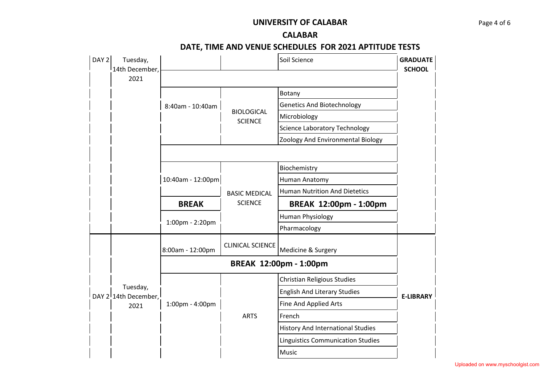### **UNIVERSITY OF CALABAR** Page 4 of 6

#### **CALABAR**

| DAY 2 | Tuesday,<br>l 14th December,     |                   |                                     | Soil Science                             | <b>GRADUATE</b><br><b>SCHOOL</b> |
|-------|----------------------------------|-------------------|-------------------------------------|------------------------------------------|----------------------------------|
|       | 2021                             |                   |                                     |                                          |                                  |
|       |                                  |                   |                                     | Botany                                   |                                  |
|       |                                  | 8:40am - 10:40am  |                                     | <b>Genetics And Biotechnology</b>        |                                  |
|       |                                  |                   | <b>BIOLOGICAL</b><br><b>SCIENCE</b> | Microbiology                             |                                  |
|       |                                  |                   |                                     | <b>Science Laboratory Technology</b>     |                                  |
|       |                                  |                   |                                     | Zoology And Environmental Biology        |                                  |
|       |                                  |                   |                                     |                                          |                                  |
|       |                                  |                   |                                     | Biochemistry                             |                                  |
|       |                                  | 10:40am - 12:00pm |                                     | Human Anatomy                            |                                  |
|       |                                  |                   | <b>BASIC MEDICAL</b>                | <b>Human Nutrition And Dietetics</b>     |                                  |
|       |                                  | <b>BREAK</b>      | <b>SCIENCE</b>                      | BREAK 12:00pm - 1:00pm                   |                                  |
|       |                                  | 1:00pm - 2:20pm   |                                     | <b>Human Physiology</b>                  |                                  |
|       |                                  |                   |                                     | Pharmacology                             |                                  |
|       |                                  | 8:00am - 12:00pm  | <b>CLINICAL SCIENCE</b>             | Medicine & Surgery                       |                                  |
|       |                                  |                   |                                     | BREAK 12:00pm - 1:00pm                   |                                  |
|       |                                  |                   |                                     | Christian Religious Studies              |                                  |
|       | Tuesday,<br>DAY 2 14th December, |                   |                                     | <b>English And Literary Studies</b>      | <b>E-LIBRARY</b>                 |
|       | 2021                             | 1:00pm - 4:00pm   | <b>ARTS</b>                         | Fine And Applied Arts                    |                                  |
|       |                                  |                   |                                     | French                                   |                                  |
|       |                                  |                   |                                     | <b>History And International Studies</b> |                                  |
|       |                                  |                   |                                     | <b>Linguistics Communication Studies</b> |                                  |
|       |                                  |                   |                                     | Music                                    |                                  |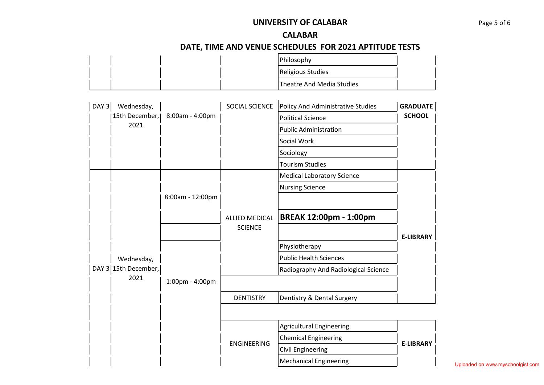## **UNIVERSITY OF CALABAR** Page 5 of 6

#### **CALABAR**

# **DATE, TIME AND VENUE SCHEDULES FOR 2021 APTITUDE TESTS**

|  |  | Philosophy                |  |
|--|--|---------------------------|--|
|  |  | Religious Studies         |  |
|  |  | Theatre And Media Studies |  |

| DAY 3 Wednesday,     |                  | SOCIAL SCIENCE     | <b>Policy And Administrative Studies</b> | <b>GRADUATE</b>  |
|----------------------|------------------|--------------------|------------------------------------------|------------------|
| 15th December,       | 8:00am - 4:00pm  |                    | <b>Political Science</b>                 | <b>SCHOOL</b>    |
| 2021                 |                  |                    | <b>Public Administration</b>             |                  |
|                      |                  |                    | Social Work                              |                  |
|                      |                  |                    | Sociology                                |                  |
|                      |                  |                    | <b>Tourism Studies</b>                   |                  |
|                      |                  |                    | <b>Medical Laboratory Science</b>        |                  |
|                      |                  |                    | <b>Nursing Science</b>                   |                  |
|                      | 8:00am - 12:00pm |                    |                                          |                  |
|                      |                  | ALLIED MEDICAL     | <b>BREAK 12:00pm - 1:00pm</b>            |                  |
|                      |                  | <b>SCIENCE</b>     |                                          |                  |
|                      |                  |                    | Physiotherapy                            | <b>E-LIBRARY</b> |
| Wednesday,           |                  |                    | <b>Public Health Sciences</b>            |                  |
| DAY 3 15th December, |                  |                    | Radiography And Radiological Science     |                  |
| 2021                 | 1:00pm - 4:00pm  |                    |                                          |                  |
|                      |                  | <b>DENTISTRY</b>   | Dentistry & Dental Surgery               |                  |
|                      |                  |                    |                                          |                  |
|                      |                  |                    | <b>Agricultural Engineering</b>          |                  |
|                      |                  | <b>ENGINEERING</b> | <b>Chemical Engineering</b>              | <b>E-LIBRARY</b> |
|                      |                  |                    | <b>Civil Engineering</b>                 |                  |
|                      |                  |                    | <b>Mechanical Engineering</b>            |                  |

Uploaded on www.myschoolgist.com